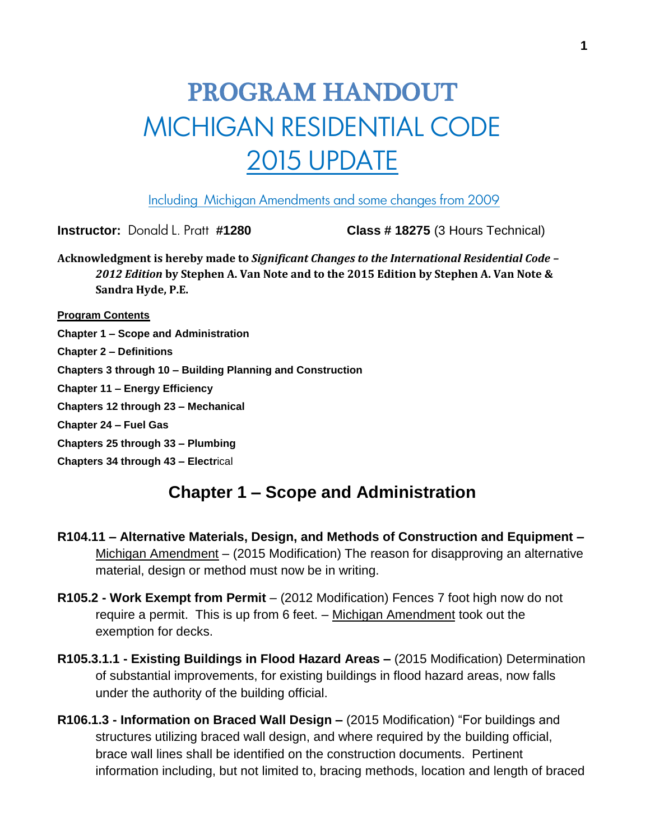# PROGRAM HANDOUT MICHIGAN RESIDENTIAL CODE 2015 UPDATE

Including Michigan Amendments and some changes from 2009

**Instructor:** Donald L. Pratt **#1280 Class # 18275** (3 Hours Technical)

**Acknowledgment is hereby made to** *Significant Changes to the International Residential Code – 2012 Edition* **by Stephen A. Van Note and to the 2015 Edition by Stephen A. Van Note & Sandra Hyde, P.E.**

**Program Contents**

**Chapter 1 – Scope and Administration**

**Chapter 2 – Definitions**

**Chapters 3 through 10 – Building Planning and Construction**

**Chapter 11 – Energy Efficiency**

**Chapters 12 through 23 – Mechanical**

**Chapter 24 – Fuel Gas**

**Chapters 25 through 33 – Plumbing**

**Chapters 34 through 43 – Electr**ical

### **Chapter 1 – Scope and Administration**

- **R104.11 – Alternative Materials, Design, and Methods of Construction and Equipment –** Michigan Amendment – (2015 Modification) The reason for disapproving an alternative material, design or method must now be in writing.
- **R105.2 - Work Exempt from Permit** (2012 Modification) Fences 7 foot high now do not require a permit. This is up from 6 feet. – Michigan Amendment took out the exemption for decks.
- **R105.3.1.1 - Existing Buildings in Flood Hazard Areas –** (2015 Modification) Determination of substantial improvements, for existing buildings in flood hazard areas, now falls under the authority of the building official.
- **R106.1.3 - Information on Braced Wall Design –** (2015 Modification) "For buildings and structures utilizing braced wall design, and where required by the building official, brace wall lines shall be identified on the construction documents. Pertinent information including, but not limited to, bracing methods, location and length of braced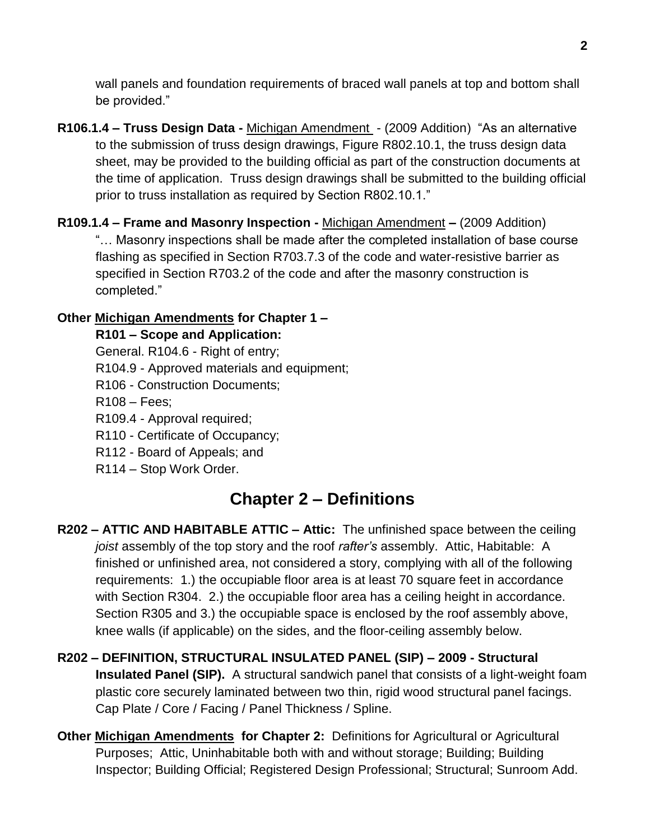wall panels and foundation requirements of braced wall panels at top and bottom shall be provided."

- **R106.1.4 – Truss Design Data -** Michigan Amendment (2009 Addition) "As an alternative to the submission of truss design drawings, Figure R802.10.1, the truss design data sheet, may be provided to the building official as part of the construction documents at the time of application. Truss design drawings shall be submitted to the building official prior to truss installation as required by Section R802.10.1."
- **R109.1.4 – Frame and Masonry Inspection -** Michigan Amendment **–** (2009 Addition) "… Masonry inspections shall be made after the completed installation of base course flashing as specified in Section R703.7.3 of the code and water-resistive barrier as specified in Section R703.2 of the code and after the masonry construction is completed."

#### **Other Michigan Amendments for Chapter 1 –**

**R101 – Scope and Application:** 

General. R104.6 - Right of entry;

- R104.9 Approved materials and equipment;
- R106 Construction Documents;

R108 – Fees;

- R109.4 Approval required;
- R110 Certificate of Occupancy;
- R112 Board of Appeals; and
- R114 Stop Work Order.

# **Chapter 2 – Definitions**

- **R202 – ATTIC AND HABITABLE ATTIC – Attic:** The unfinished space between the ceiling *joist* assembly of the top story and the roof *rafter's* assembly. Attic, Habitable: A finished or unfinished area, not considered a story, complying with all of the following requirements: 1.) the occupiable floor area is at least 70 square feet in accordance with Section R304. 2.) the occupiable floor area has a ceiling height in accordance. Section R305 and 3.) the occupiable space is enclosed by the roof assembly above, knee walls (if applicable) on the sides, and the floor-ceiling assembly below.
- **R202 – DEFINITION, STRUCTURAL INSULATED PANEL (SIP) – 2009 - Structural Insulated Panel (SIP).** A structural sandwich panel that consists of a light-weight foam plastic core securely laminated between two thin, rigid wood structural panel facings. Cap Plate / Core / Facing / Panel Thickness / Spline.
- **Other Michigan Amendments for Chapter 2:** Definitions for Agricultural or Agricultural Purposes; Attic, Uninhabitable both with and without storage; Building; Building Inspector; Building Official; Registered Design Professional; Structural; Sunroom Add.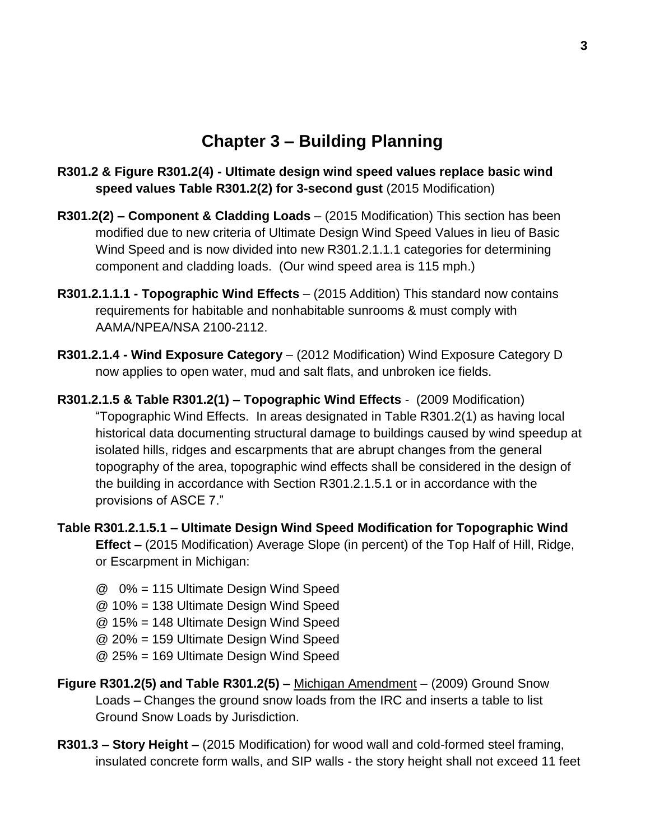### **Chapter 3 – Building Planning**

- **R301.2 & Figure R301.2(4) - Ultimate design wind speed values replace basic wind speed values Table R301.2(2) for 3-second gust** (2015 Modification)
- **R301.2(2) – Component & Cladding Loads** (2015 Modification) This section has been modified due to new criteria of Ultimate Design Wind Speed Values in lieu of Basic Wind Speed and is now divided into new R301.2.1.1.1 categories for determining component and cladding loads. (Our wind speed area is 115 mph.)
- **R301.2.1.1.1 - Topographic Wind Effects** (2015 Addition) This standard now contains requirements for habitable and nonhabitable sunrooms & must comply with AAMA/NPEA/NSA 2100-2112.
- **R301.2.1.4 - Wind Exposure Category**  (2012 Modification) Wind Exposure Category D now applies to open water, mud and salt flats, and unbroken ice fields.
- **R301.2.1.5 & Table R301.2(1) – Topographic Wind Effects**  (2009 Modification) "Topographic Wind Effects. In areas designated in Table R301.2(1) as having local historical data documenting structural damage to buildings caused by wind speedup at isolated hills, ridges and escarpments that are abrupt changes from the general topography of the area, topographic wind effects shall be considered in the design of the building in accordance with Section R301.2.1.5.1 or in accordance with the provisions of ASCE 7."
- **Table R301.2.1.5.1 – Ultimate Design Wind Speed Modification for Topographic Wind Effect –** (2015 Modification) Average Slope (in percent) of the Top Half of Hill, Ridge, or Escarpment in Michigan:
	- @ 0% = 115 Ultimate Design Wind Speed
	- @ 10% = 138 Ultimate Design Wind Speed
	- @ 15% = 148 Ultimate Design Wind Speed
	- @ 20% = 159 Ultimate Design Wind Speed
	- @ 25% = 169 Ultimate Design Wind Speed
- **Figure R301.2(5) and Table R301.2(5) –** Michigan Amendment (2009) Ground Snow Loads – Changes the ground snow loads from the IRC and inserts a table to list Ground Snow Loads by Jurisdiction.
- **R301.3 – Story Height –** (2015 Modification) for wood wall and cold-formed steel framing, insulated concrete form walls, and SIP walls - the story height shall not exceed 11 feet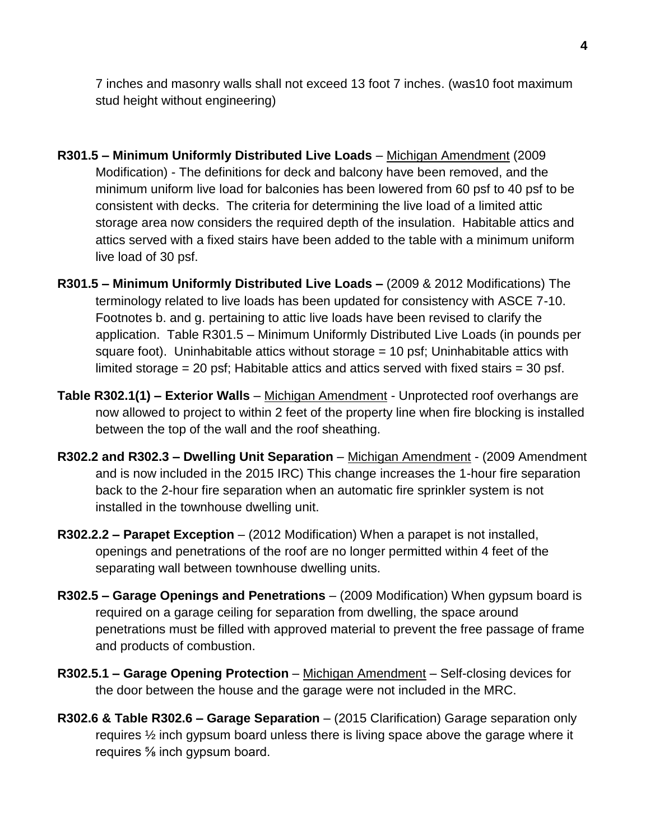7 inches and masonry walls shall not exceed 13 foot 7 inches. (was10 foot maximum stud height without engineering)

- **R301.5 – Minimum Uniformly Distributed Live Loads**  Michigan Amendment (2009 Modification) - The definitions for deck and balcony have been removed, and the minimum uniform live load for balconies has been lowered from 60 psf to 40 psf to be consistent with decks. The criteria for determining the live load of a limited attic storage area now considers the required depth of the insulation. Habitable attics and attics served with a fixed stairs have been added to the table with a minimum uniform live load of 30 psf.
- **R301.5 – Minimum Uniformly Distributed Live Loads –** (2009 & 2012 Modifications) The terminology related to live loads has been updated for consistency with ASCE 7-10. Footnotes b. and g. pertaining to attic live loads have been revised to clarify the application. Table R301.5 – Minimum Uniformly Distributed Live Loads (in pounds per square foot). Uninhabitable attics without storage = 10 psf; Uninhabitable attics with limited storage = 20 psf; Habitable attics and attics served with fixed stairs = 30 psf.
- **Table R302.1(1) – Exterior Walls**  Michigan Amendment Unprotected roof overhangs are now allowed to project to within 2 feet of the property line when fire blocking is installed between the top of the wall and the roof sheathing.
- **R302.2 and R302.3 Dwelling Unit Separation** Michigan Amendment (2009 Amendment and is now included in the 2015 IRC) This change increases the 1-hour fire separation back to the 2-hour fire separation when an automatic fire sprinkler system is not installed in the townhouse dwelling unit.
- **R302.2.2 – Parapet Exception** (2012 Modification) When a parapet is not installed, openings and penetrations of the roof are no longer permitted within 4 feet of the separating wall between townhouse dwelling units.
- **R302.5 – Garage Openings and Penetrations** (2009 Modification) When gypsum board is required on a garage ceiling for separation from dwelling, the space around penetrations must be filled with approved material to prevent the free passage of frame and products of combustion.
- **R302.5.1 – Garage Opening Protection** Michigan Amendment Self-closing devices for the door between the house and the garage were not included in the MRC.
- **R302.6 & Table R302.6 – Garage Separation** (2015 Clarification) Garage separation only requires ½ inch gypsum board unless there is living space above the garage where it requires ⅝ inch gypsum board.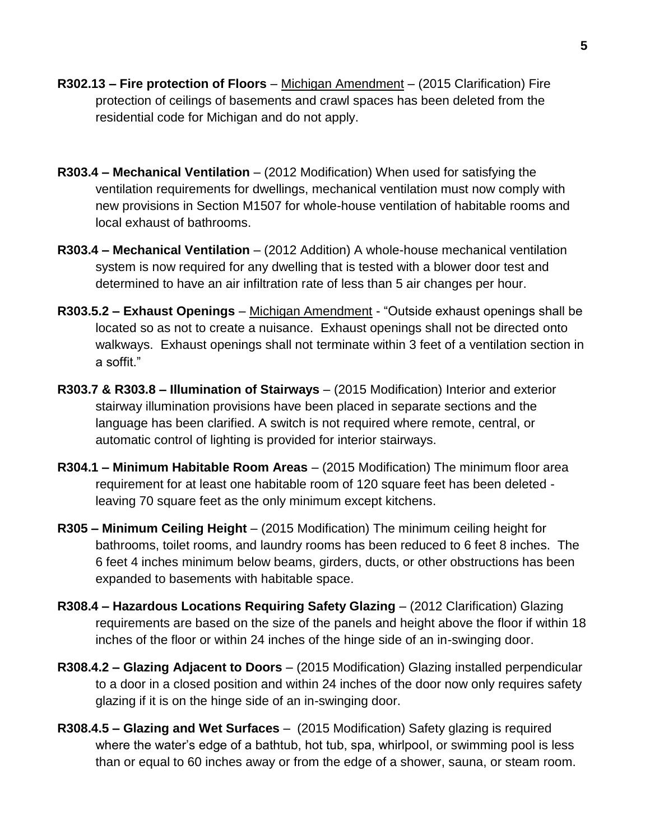- **R302.13 – Fire protection of Floors** Michigan Amendment (2015 Clarification) Fire protection of ceilings of basements and crawl spaces has been deleted from the residential code for Michigan and do not apply.
- **R303.4 – Mechanical Ventilation** (2012 Modification) When used for satisfying the ventilation requirements for dwellings, mechanical ventilation must now comply with new provisions in Section M1507 for whole-house ventilation of habitable rooms and local exhaust of bathrooms.
- **R303.4 – Mechanical Ventilation**  (2012 Addition) A whole-house mechanical ventilation system is now required for any dwelling that is tested with a blower door test and determined to have an air infiltration rate of less than 5 air changes per hour.
- **R303.5.2 – Exhaust Openings**  Michigan Amendment "Outside exhaust openings shall be located so as not to create a nuisance. Exhaust openings shall not be directed onto walkways. Exhaust openings shall not terminate within 3 feet of a ventilation section in a soffit."
- **R303.7 & R303.8 – Illumination of Stairways**  (2015 Modification) Interior and exterior stairway illumination provisions have been placed in separate sections and the language has been clarified. A switch is not required where remote, central, or automatic control of lighting is provided for interior stairways.
- **R304.1 – Minimum Habitable Room Areas** (2015 Modification) The minimum floor area requirement for at least one habitable room of 120 square feet has been deleted leaving 70 square feet as the only minimum except kitchens.
- **R305 – Minimum Ceiling Height** (2015 Modification) The minimum ceiling height for bathrooms, toilet rooms, and laundry rooms has been reduced to 6 feet 8 inches. The 6 feet 4 inches minimum below beams, girders, ducts, or other obstructions has been expanded to basements with habitable space.
- **R308.4 – Hazardous Locations Requiring Safety Glazing**  (2012 Clarification) Glazing requirements are based on the size of the panels and height above the floor if within 18 inches of the floor or within 24 inches of the hinge side of an in-swinging door.
- **R308.4.2 – Glazing Adjacent to Doors** (2015 Modification) Glazing installed perpendicular to a door in a closed position and within 24 inches of the door now only requires safety glazing if it is on the hinge side of an in-swinging door.
- **R308.4.5 – Glazing and Wet Surfaces** (2015 Modification) Safety glazing is required where the water's edge of a bathtub, hot tub, spa, whirlpool, or swimming pool is less than or equal to 60 inches away or from the edge of a shower, sauna, or steam room.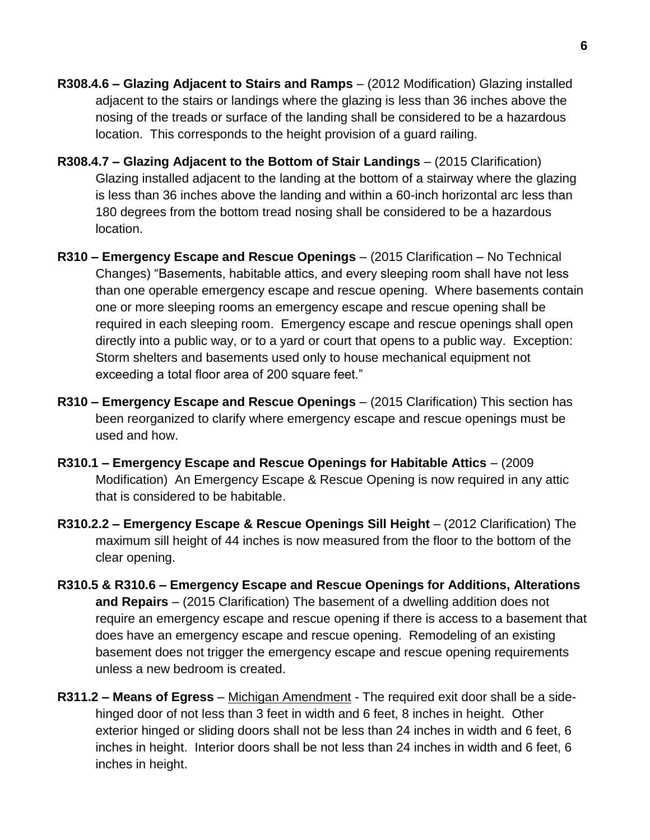- **R308.4.6 – Glazing Adjacent to Stairs and Ramps** (2012 Modification) Glazing installed adjacent to the stairs or landings where the glazing is less than 36 inches above the nosing of the treads or surface of the landing shall be considered to be a hazardous location. This corresponds to the height provision of a guard railing.
- **R308.4.7 – Glazing Adjacent to the Bottom of Stair Landings** (2015 Clarification) Glazing installed adjacent to the landing at the bottom of a stairway where the glazing is less than 36 inches above the landing and within a 60-inch horizontal arc less than 180 degrees from the bottom tread nosing shall be considered to be a hazardous location.
- **R310 – Emergency Escape and Rescue Openings** (2015 Clarification No Technical Changes) "Basements, habitable attics, and every sleeping room shall have not less than one operable emergency escape and rescue opening. Where basements contain one or more sleeping rooms an emergency escape and rescue opening shall be required in each sleeping room. Emergency escape and rescue openings shall open directly into a public way, or to a yard or court that opens to a public way. Exception: Storm shelters and basements used only to house mechanical equipment not exceeding a total floor area of 200 square feet."
- **R310 – Emergency Escape and Rescue Openings** (2015 Clarification) This section has been reorganized to clarify where emergency escape and rescue openings must be used and how.
- **R310.1 – Emergency Escape and Rescue Openings for Habitable Attics** (2009 Modification) An Emergency Escape & Rescue Opening is now required in any attic that is considered to be habitable.
- **R310.2.2 – Emergency Escape & Rescue Openings Sill Height** (2012 Clarification) The maximum sill height of 44 inches is now measured from the floor to the bottom of the clear opening.
- **R310.5 & R310.6 – Emergency Escape and Rescue Openings for Additions, Alterations and Repairs** – (2015 Clarification) The basement of a dwelling addition does not require an emergency escape and rescue opening if there is access to a basement that does have an emergency escape and rescue opening. Remodeling of an existing basement does not trigger the emergency escape and rescue opening requirements unless a new bedroom is created.
- **R311.2 – Means of Egress** Michigan Amendment The required exit door shall be a sidehinged door of not less than 3 feet in width and 6 feet, 8 inches in height. Other exterior hinged or sliding doors shall not be less than 24 inches in width and 6 feet, 6 inches in height. Interior doors shall be not less than 24 inches in width and 6 feet, 6 inches in height.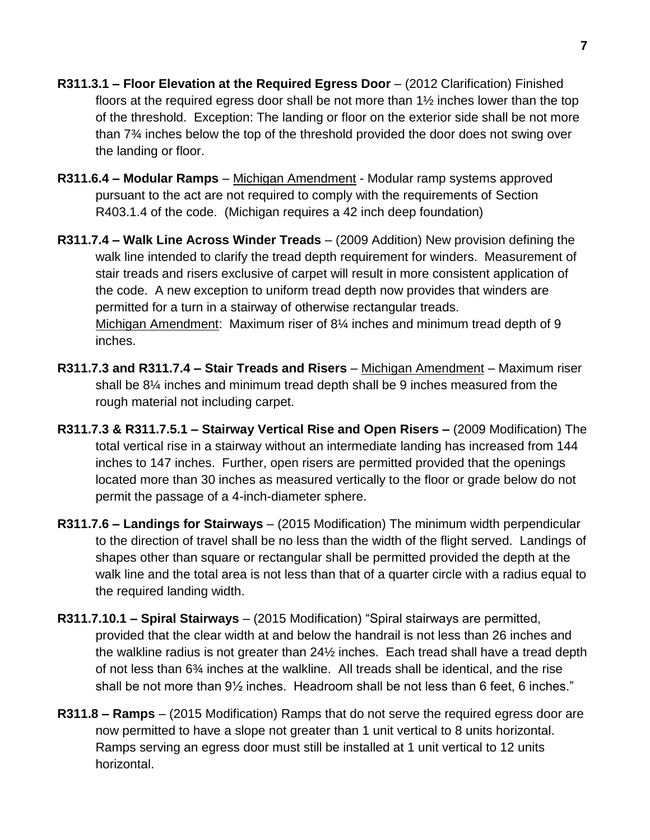- **R311.3.1 – Floor Elevation at the Required Egress Door** (2012 Clarification) Finished floors at the required egress door shall be not more than 1½ inches lower than the top of the threshold. Exception: The landing or floor on the exterior side shall be not more than 7¾ inches below the top of the threshold provided the door does not swing over the landing or floor.
- **R311.6.4 – Modular Ramps** Michigan Amendment Modular ramp systems approved pursuant to the act are not required to comply with the requirements of Section R403.1.4 of the code. (Michigan requires a 42 inch deep foundation)
- **R311.7.4 – Walk Line Across Winder Treads** (2009 Addition) New provision defining the walk line intended to clarify the tread depth requirement for winders. Measurement of stair treads and risers exclusive of carpet will result in more consistent application of the code. A new exception to uniform tread depth now provides that winders are permitted for a turn in a stairway of otherwise rectangular treads. Michigan Amendment: Maximum riser of 8¼ inches and minimum tread depth of 9 inches.
- **R311.7.3 and R311.7.4 – Stair Treads and Risers** Michigan Amendment Maximum riser shall be 8¼ inches and minimum tread depth shall be 9 inches measured from the rough material not including carpet.
- **R311.7.3 & R311.7.5.1 – Stairway Vertical Rise and Open Risers –** (2009 Modification) The total vertical rise in a stairway without an intermediate landing has increased from 144 inches to 147 inches. Further, open risers are permitted provided that the openings located more than 30 inches as measured vertically to the floor or grade below do not permit the passage of a 4-inch-diameter sphere.
- **R311.7.6 – Landings for Stairways** (2015 Modification) The minimum width perpendicular to the direction of travel shall be no less than the width of the flight served. Landings of shapes other than square or rectangular shall be permitted provided the depth at the walk line and the total area is not less than that of a quarter circle with a radius equal to the required landing width.
- **R311.7.10.1 – Spiral Stairways** (2015 Modification) "Spiral stairways are permitted, provided that the clear width at and below the handrail is not less than 26 inches and the walkline radius is not greater than 24½ inches. Each tread shall have a tread depth of not less than 6¾ inches at the walkline. All treads shall be identical, and the rise shall be not more than 9½ inches. Headroom shall be not less than 6 feet, 6 inches."
- **R311.8 – Ramps** (2015 Modification) Ramps that do not serve the required egress door are now permitted to have a slope not greater than 1 unit vertical to 8 units horizontal. Ramps serving an egress door must still be installed at 1 unit vertical to 12 units horizontal.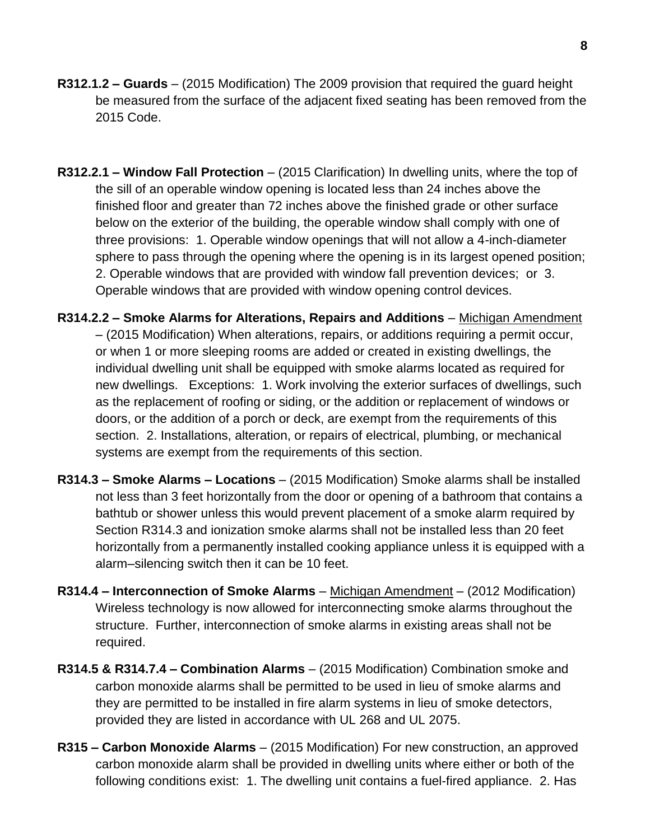- **R312.1.2 – Guards** (2015 Modification) The 2009 provision that required the guard height be measured from the surface of the adjacent fixed seating has been removed from the 2015 Code.
- **R312.2.1 – Window Fall Protection** (2015 Clarification) In dwelling units, where the top of the sill of an operable window opening is located less than 24 inches above the finished floor and greater than 72 inches above the finished grade or other surface below on the exterior of the building, the operable window shall comply with one of three provisions: 1. Operable window openings that will not allow a 4-inch-diameter sphere to pass through the opening where the opening is in its largest opened position; 2. Operable windows that are provided with window fall prevention devices; or 3. Operable windows that are provided with window opening control devices.
- **R314.2.2 – Smoke Alarms for Alterations, Repairs and Additions** Michigan Amendment – (2015 Modification) When alterations, repairs, or additions requiring a permit occur, or when 1 or more sleeping rooms are added or created in existing dwellings, the individual dwelling unit shall be equipped with smoke alarms located as required for new dwellings. Exceptions: 1. Work involving the exterior surfaces of dwellings, such as the replacement of roofing or siding, or the addition or replacement of windows or doors, or the addition of a porch or deck, are exempt from the requirements of this section. 2. Installations, alteration, or repairs of electrical, plumbing, or mechanical systems are exempt from the requirements of this section.
- **R314.3 – Smoke Alarms – Locations** (2015 Modification) Smoke alarms shall be installed not less than 3 feet horizontally from the door or opening of a bathroom that contains a bathtub or shower unless this would prevent placement of a smoke alarm required by Section R314.3 and ionization smoke alarms shall not be installed less than 20 feet horizontally from a permanently installed cooking appliance unless it is equipped with a alarm–silencing switch then it can be 10 feet.
- **R314.4 – Interconnection of Smoke Alarms** Michigan Amendment (2012 Modification) Wireless technology is now allowed for interconnecting smoke alarms throughout the structure. Further, interconnection of smoke alarms in existing areas shall not be required.
- **R314.5 & R314.7.4 – Combination Alarms** (2015 Modification) Combination smoke and carbon monoxide alarms shall be permitted to be used in lieu of smoke alarms and they are permitted to be installed in fire alarm systems in lieu of smoke detectors, provided they are listed in accordance with UL 268 and UL 2075.
- **R315 – Carbon Monoxide Alarms** (2015 Modification) For new construction, an approved carbon monoxide alarm shall be provided in dwelling units where either or both of the following conditions exist: 1. The dwelling unit contains a fuel-fired appliance. 2. Has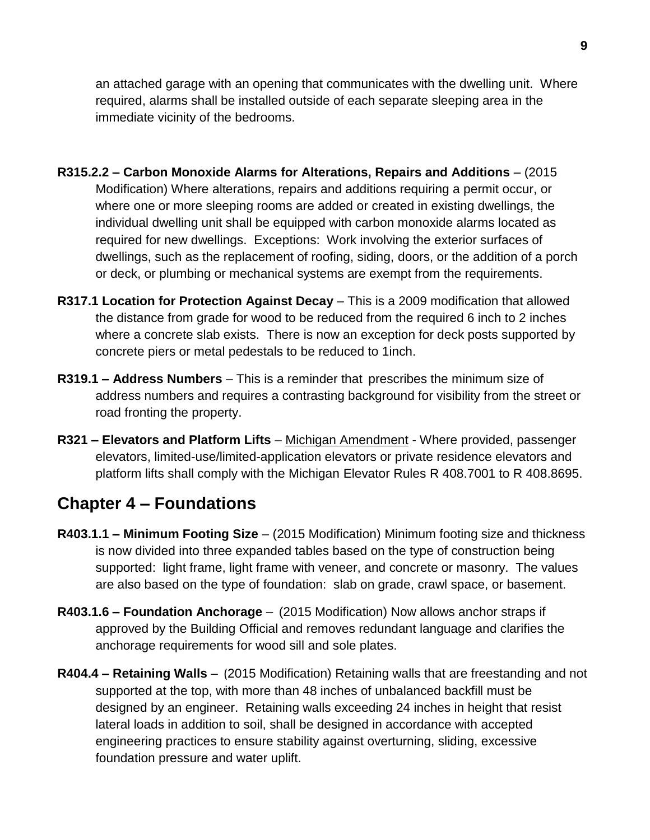an attached garage with an opening that communicates with the dwelling unit. Where required, alarms shall be installed outside of each separate sleeping area in the immediate vicinity of the bedrooms.

- **R315.2.2 – Carbon Monoxide Alarms for Alterations, Repairs and Additions** (2015 Modification) Where alterations, repairs and additions requiring a permit occur, or where one or more sleeping rooms are added or created in existing dwellings, the individual dwelling unit shall be equipped with carbon monoxide alarms located as required for new dwellings. Exceptions: Work involving the exterior surfaces of dwellings, such as the replacement of roofing, siding, doors, or the addition of a porch or deck, or plumbing or mechanical systems are exempt from the requirements.
- **R317.1 Location for Protection Against Decay** This is a 2009 modification that allowed the distance from grade for wood to be reduced from the required 6 inch to 2 inches where a concrete slab exists. There is now an exception for deck posts supported by concrete piers or metal pedestals to be reduced to 1inch.
- **R319.1 – Address Numbers** This is a reminder that prescribes the minimum size of address numbers and requires a contrasting background for visibility from the street or road fronting the property.
- **R321 – Elevators and Platform Lifts** Michigan Amendment Where provided, passenger elevators, limited-use/limited-application elevators or private residence elevators and platform lifts shall comply with the Michigan Elevator Rules R 408.7001 to R 408.8695.

### **Chapter 4 – Foundations**

- **R403.1.1 – Minimum Footing Size** (2015 Modification) Minimum footing size and thickness is now divided into three expanded tables based on the type of construction being supported: light frame, light frame with veneer, and concrete or masonry. The values are also based on the type of foundation: slab on grade, crawl space, or basement.
- **R403.1.6 – Foundation Anchorage** (2015 Modification) Now allows anchor straps if approved by the Building Official and removes redundant language and clarifies the anchorage requirements for wood sill and sole plates.
- **R404.4 – Retaining Walls** (2015 Modification) Retaining walls that are freestanding and not supported at the top, with more than 48 inches of unbalanced backfill must be designed by an engineer. Retaining walls exceeding 24 inches in height that resist lateral loads in addition to soil, shall be designed in accordance with accepted engineering practices to ensure stability against overturning, sliding, excessive foundation pressure and water uplift.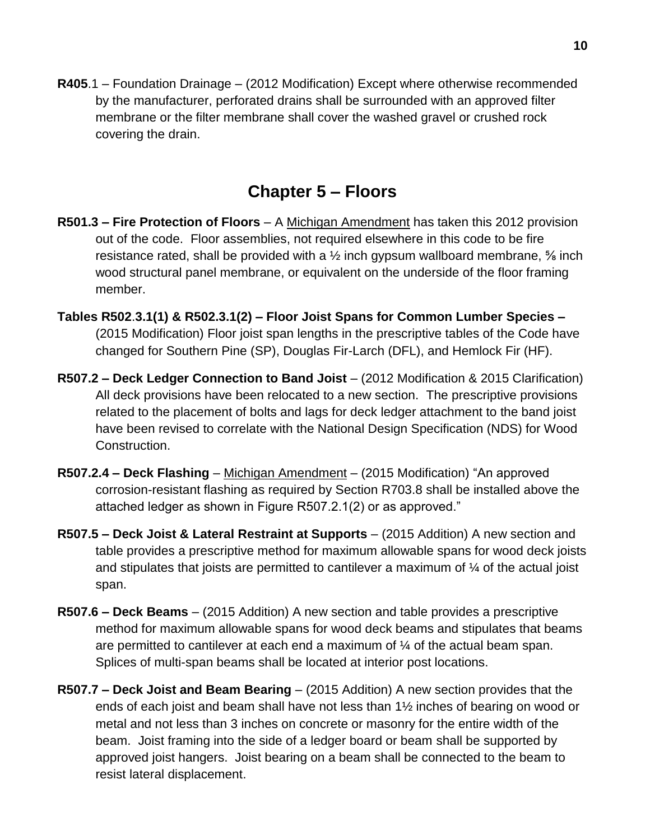**R405**.1 – Foundation Drainage – (2012 Modification) Except where otherwise recommended by the manufacturer, perforated drains shall be surrounded with an approved filter membrane or the filter membrane shall cover the washed gravel or crushed rock covering the drain.

# **Chapter 5 – Floors**

- **R501.3 – Fire Protection of Floors**  A Michigan Amendment has taken this 2012 provision out of the code. Floor assemblies, not required elsewhere in this code to be fire resistance rated, shall be provided with a  $\frac{1}{2}$  inch gypsum wallboard membrane,  $\frac{5}{6}$  inch wood structural panel membrane, or equivalent on the underside of the floor framing member.
- **Tables R502**.**3.1(1) & R502.3.1(2) – Floor Joist Spans for Common Lumber Species –** (2015 Modification) Floor joist span lengths in the prescriptive tables of the Code have changed for Southern Pine (SP), Douglas Fir-Larch (DFL), and Hemlock Fir (HF).
- **R507.2 – Deck Ledger Connection to Band Joist** (2012 Modification & 2015 Clarification) All deck provisions have been relocated to a new section. The prescriptive provisions related to the placement of bolts and lags for deck ledger attachment to the band joist have been revised to correlate with the National Design Specification (NDS) for Wood Construction.
- **R507.2.4 – Deck Flashing** Michigan Amendment (2015 Modification) "An approved corrosion-resistant flashing as required by Section R703.8 shall be installed above the attached ledger as shown in Figure R507.2.1(2) or as approved."
- **R507.5 – Deck Joist & Lateral Restraint at Supports** (2015 Addition) A new section and table provides a prescriptive method for maximum allowable spans for wood deck joists and stipulates that joists are permitted to cantilever a maximum of ¼ of the actual joist span.
- **R507.6 – Deck Beams** (2015 Addition) A new section and table provides a prescriptive method for maximum allowable spans for wood deck beams and stipulates that beams are permitted to cantilever at each end a maximum of ¼ of the actual beam span. Splices of multi-span beams shall be located at interior post locations.
- **R507.7 – Deck Joist and Beam Bearing** (2015 Addition) A new section provides that the ends of each joist and beam shall have not less than 1½ inches of bearing on wood or metal and not less than 3 inches on concrete or masonry for the entire width of the beam. Joist framing into the side of a ledger board or beam shall be supported by approved joist hangers. Joist bearing on a beam shall be connected to the beam to resist lateral displacement.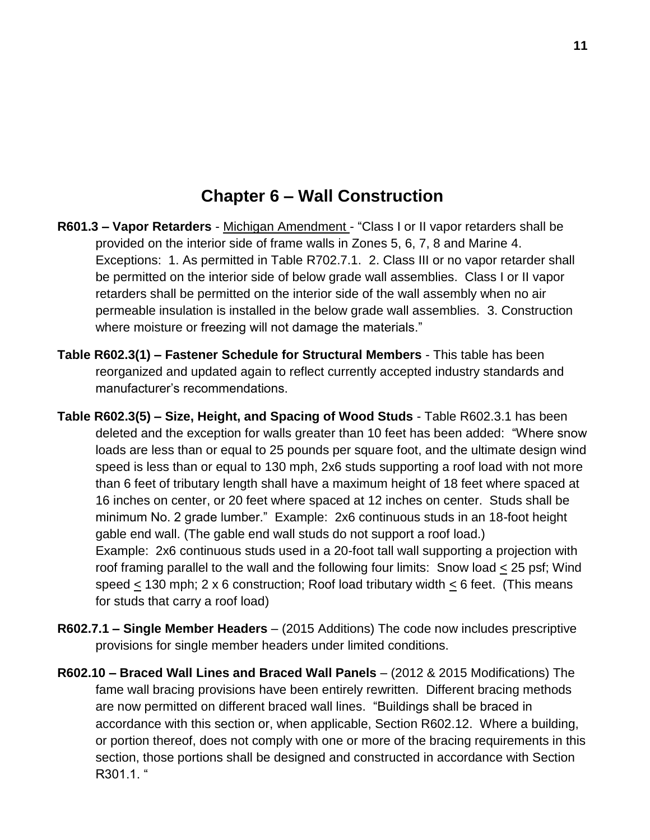### **Chapter 6 – Wall Construction**

- **R601.3 – Vapor Retarders**  Michigan Amendment "Class I or II vapor retarders shall be provided on the interior side of frame walls in Zones 5, 6, 7, 8 and Marine 4. Exceptions: 1. As permitted in Table R702.7.1. 2. Class III or no vapor retarder shall be permitted on the interior side of below grade wall assemblies. Class I or II vapor retarders shall be permitted on the interior side of the wall assembly when no air permeable insulation is installed in the below grade wall assemblies. 3. Construction where moisture or freezing will not damage the materials."
- **Table R602.3(1) – Fastener Schedule for Structural Members** This table has been reorganized and updated again to reflect currently accepted industry standards and manufacturer's recommendations.
- **Table R602.3(5) – Size, Height, and Spacing of Wood Studs** Table R602.3.1 has been deleted and the exception for walls greater than 10 feet has been added: "Where snow loads are less than or equal to 25 pounds per square foot, and the ultimate design wind speed is less than or equal to 130 mph, 2x6 studs supporting a roof load with not more than 6 feet of tributary length shall have a maximum height of 18 feet where spaced at 16 inches on center, or 20 feet where spaced at 12 inches on center. Studs shall be minimum No. 2 grade lumber." Example: 2x6 continuous studs in an 18-foot height gable end wall. (The gable end wall studs do not support a roof load.) Example: 2x6 continuous studs used in a 20-foot tall wall supporting a projection with roof framing parallel to the wall and the following four limits: Snow load < 25 psf; Wind speed  $\leq$  130 mph; 2 x 6 construction; Roof load tributary width < 6 feet. (This means for studs that carry a roof load)
- **R602.7.1 – Single Member Headers** (2015 Additions) The code now includes prescriptive provisions for single member headers under limited conditions.
- **R602.10 – Braced Wall Lines and Braced Wall Panels** (2012 & 2015 Modifications) The fame wall bracing provisions have been entirely rewritten. Different bracing methods are now permitted on different braced wall lines. "Buildings shall be braced in accordance with this section or, when applicable, Section R602.12. Where a building, or portion thereof, does not comply with one or more of the bracing requirements in this section, those portions shall be designed and constructed in accordance with Section R301.1. "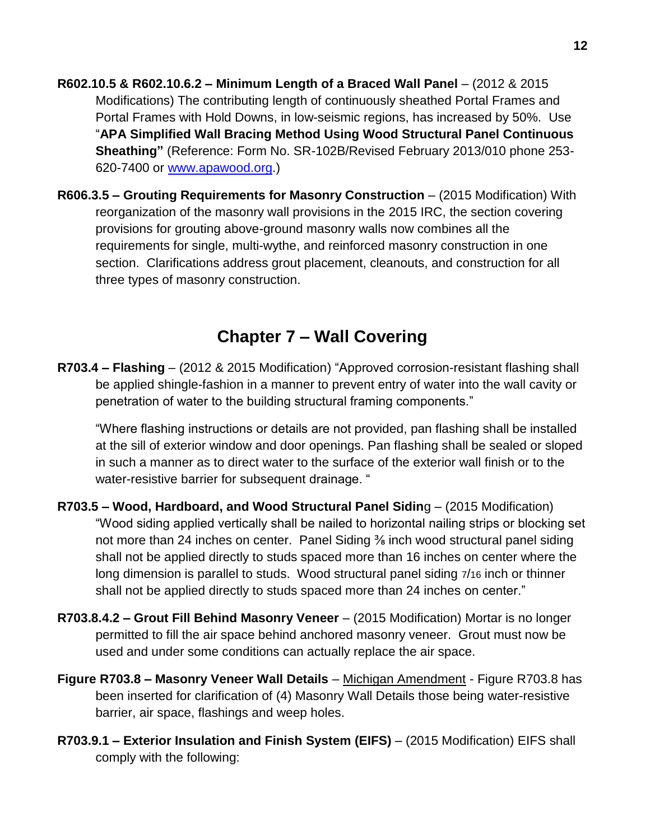**R602.10.5 & R602.10.6.2 – Minimum Length of a Braced Wall Panel** – (2012 & 2015 Modifications) The contributing length of continuously sheathed Portal Frames and Portal Frames with Hold Downs, in low-seismic regions, has increased by 50%. Use "**APA Simplified Wall Bracing Method Using Wood Structural Panel Continuous Sheathing"** (Reference: Form No. SR-102B/Revised February 2013/010 phone 253 620-7400 or [www.apawood.org.](http://www.apawood.org/))

**R606.3.5 – Grouting Requirements for Masonry Construction** – (2015 Modification) With reorganization of the masonry wall provisions in the 2015 IRC, the section covering provisions for grouting above-ground masonry walls now combines all the requirements for single, multi-wythe, and reinforced masonry construction in one section. Clarifications address grout placement, cleanouts, and construction for all three types of masonry construction.

### **Chapter 7 – Wall Covering**

**R703.4 – Flashing** – (2012 & 2015 Modification) "Approved corrosion-resistant flashing shall be applied shingle-fashion in a manner to prevent entry of water into the wall cavity or penetration of water to the building structural framing components."

"Where flashing instructions or details are not provided, pan flashing shall be installed at the sill of exterior window and door openings. Pan flashing shall be sealed or sloped in such a manner as to direct water to the surface of the exterior wall finish or to the water-resistive barrier for subsequent drainage. "

- **R703.5 – Wood, Hardboard, and Wood Structural Panel Sidin**g (2015 Modification) "Wood siding applied vertically shall be nailed to horizontal nailing strips or blocking set not more than 24 inches on center. Panel Siding  $\frac{3}{6}$  inch wood structural panel siding shall not be applied directly to studs spaced more than 16 inches on center where the long dimension is parallel to studs. Wood structural panel siding 7/16 inch or thinner shall not be applied directly to studs spaced more than 24 inches on center."
- **R703.8.4.2 – Grout Fill Behind Masonry Veneer**  (2015 Modification) Mortar is no longer permitted to fill the air space behind anchored masonry veneer. Grout must now be used and under some conditions can actually replace the air space.
- **Figure R703.8 – Masonry Veneer Wall Details** Michigan Amendment Figure R703.8 has been inserted for clarification of (4) Masonry Wall Details those being water-resistive barrier, air space, flashings and weep holes.
- **R703.9.1 – Exterior Insulation and Finish System (EIFS)** (2015 Modification) EIFS shall comply with the following: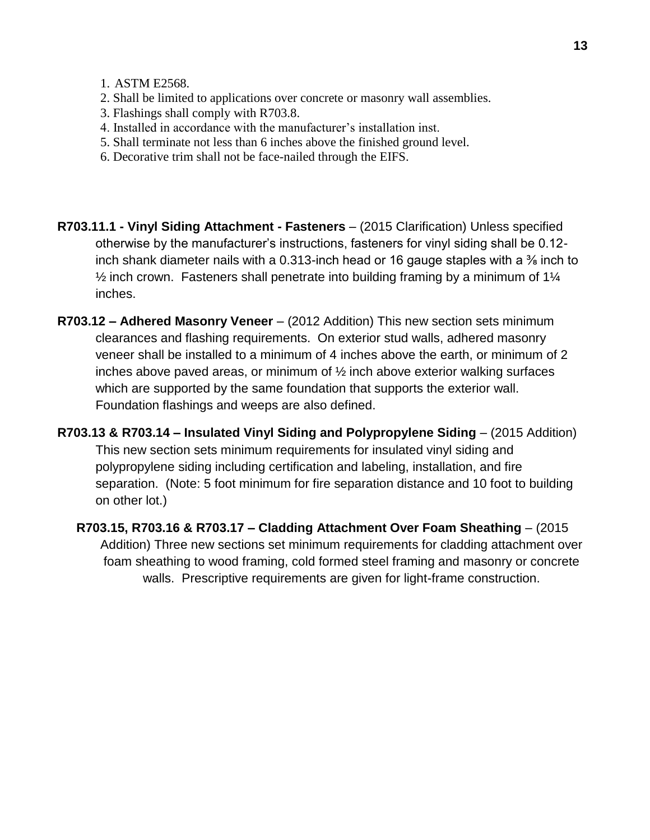- 1. ASTM E2568.
- 2. Shall be limited to applications over concrete or masonry wall assemblies.
- 3. Flashings shall comply with R703.8.
- 4. Installed in accordance with the manufacturer's installation inst.
- 5. Shall terminate not less than 6 inches above the finished ground level.
- 6. Decorative trim shall not be face-nailed through the EIFS.
- **R703.11.1 - Vinyl Siding Attachment - Fasteners** (2015 Clarification) Unless specified otherwise by the manufacturer's instructions, fasteners for vinyl siding shall be 0.12 inch shank diameter nails with a 0.313-inch head or 16 gauge staples with a  $\frac{3}{8}$  inch to  $\frac{1}{2}$  inch crown. Fasteners shall penetrate into building framing by a minimum of 1 $\frac{1}{4}$ inches.
- **R703.12 – Adhered Masonry Veneer** (2012 Addition) This new section sets minimum clearances and flashing requirements. On exterior stud walls, adhered masonry veneer shall be installed to a minimum of 4 inches above the earth, or minimum of 2 inches above paved areas, or minimum of ½ inch above exterior walking surfaces which are supported by the same foundation that supports the exterior wall. Foundation flashings and weeps are also defined.
- **R703.13 & R703.14 – Insulated Vinyl Siding and Polypropylene Siding** (2015 Addition) This new section sets minimum requirements for insulated vinyl siding and polypropylene siding including certification and labeling, installation, and fire separation. (Note: 5 foot minimum for fire separation distance and 10 foot to building on other lot.)
	- **R703.15, R703.16 & R703.17 – Cladding Attachment Over Foam Sheathing** (2015 Addition) Three new sections set minimum requirements for cladding attachment over foam sheathing to wood framing, cold formed steel framing and masonry or concrete walls. Prescriptive requirements are given for light-frame construction.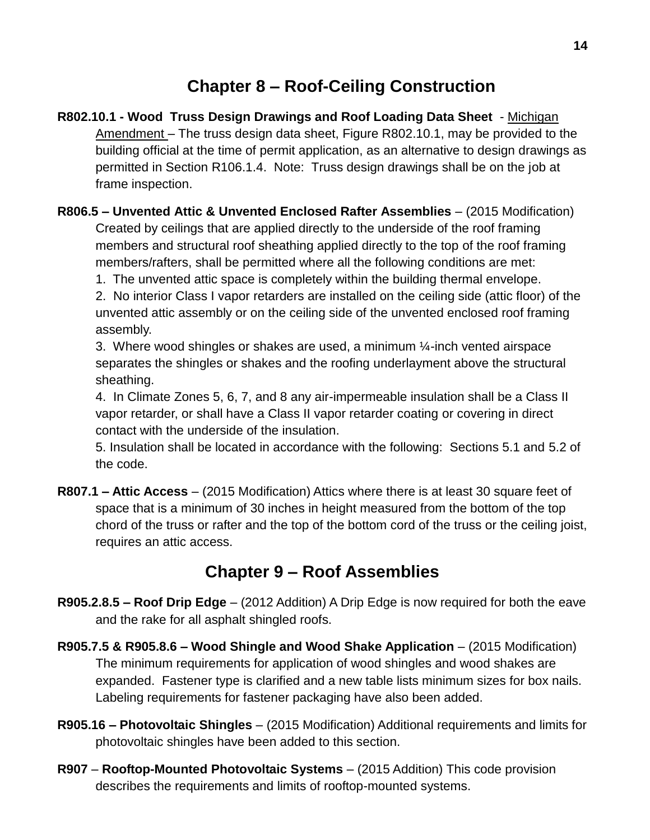# **Chapter 8 – Roof-Ceiling Construction**

- **R802.10.1 - Wood Truss Design Drawings and Roof Loading Data Sheet**  Michigan Amendment – The truss design data sheet, Figure R802.10.1, may be provided to the building official at the time of permit application, as an alternative to design drawings as permitted in Section R106.1.4. Note: Truss design drawings shall be on the job at frame inspection.
- **R806.5 – Unvented Attic & Unvented Enclosed Rafter Assemblies** (2015 Modification) Created by ceilings that are applied directly to the underside of the roof framing members and structural roof sheathing applied directly to the top of the roof framing members/rafters, shall be permitted where all the following conditions are met:
	- 1. The unvented attic space is completely within the building thermal envelope.

2. No interior Class I vapor retarders are installed on the ceiling side (attic floor) of the unvented attic assembly or on the ceiling side of the unvented enclosed roof framing assembly.

3. Where wood shingles or shakes are used, a minimum  $\frac{1}{4}$ -inch vented airspace separates the shingles or shakes and the roofing underlayment above the structural sheathing.

4. In Climate Zones 5, 6, 7, and 8 any air-impermeable insulation shall be a Class II vapor retarder, or shall have a Class II vapor retarder coating or covering in direct contact with the underside of the insulation.

5. Insulation shall be located in accordance with the following: Sections 5.1 and 5.2 of the code.

**R807.1 – Attic Access** – (2015 Modification) Attics where there is at least 30 square feet of space that is a minimum of 30 inches in height measured from the bottom of the top chord of the truss or rafter and the top of the bottom cord of the truss or the ceiling joist, requires an attic access.

# **Chapter 9 – Roof Assemblies**

- **R905.2.8.5 – Roof Drip Edge**  (2012 Addition) A Drip Edge is now required for both the eave and the rake for all asphalt shingled roofs.
- **R905.7.5 & R905.8.6 – Wood Shingle and Wood Shake Application** (2015 Modification) The minimum requirements for application of wood shingles and wood shakes are expanded. Fastener type is clarified and a new table lists minimum sizes for box nails. Labeling requirements for fastener packaging have also been added.
- **R905.16 – Photovoltaic Shingles** (2015 Modification) Additional requirements and limits for photovoltaic shingles have been added to this section.
- **R907 Rooftop-Mounted Photovoltaic Systems** (2015 Addition) This code provision describes the requirements and limits of rooftop-mounted systems.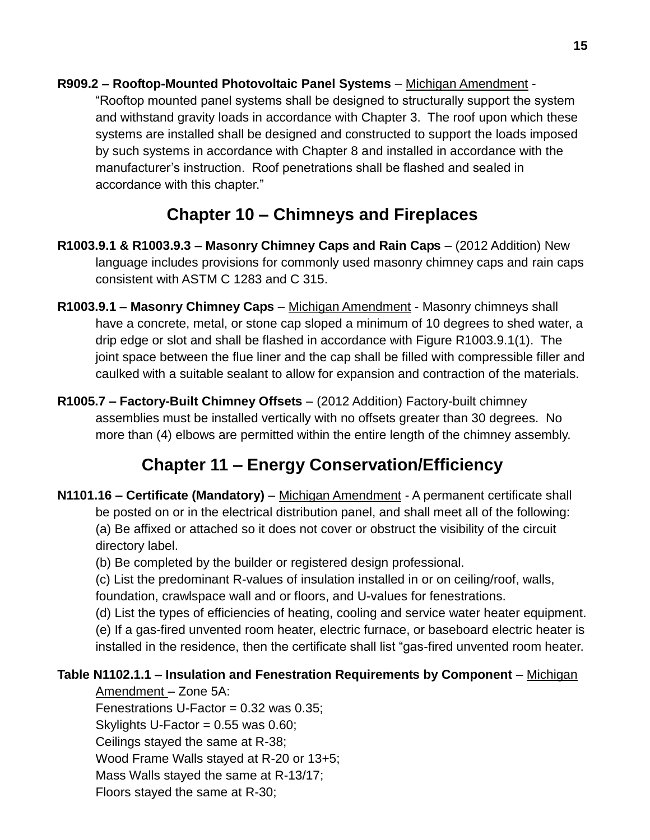**R909.2 – Rooftop-Mounted Photovoltaic Panel Systems** – Michigan Amendment - "Rooftop mounted panel systems shall be designed to structurally support the system and withstand gravity loads in accordance with Chapter 3. The roof upon which these systems are installed shall be designed and constructed to support the loads imposed by such systems in accordance with Chapter 8 and installed in accordance with the manufacturer's instruction. Roof penetrations shall be flashed and sealed in accordance with this chapter."

# **Chapter 10 – Chimneys and Fireplaces**

- **R1003.9.1 & R1003.9.3 – Masonry Chimney Caps and Rain Caps**  (2012 Addition) New language includes provisions for commonly used masonry chimney caps and rain caps consistent with ASTM C 1283 and C 315.
- **R1003.9.1 – Masonry Chimney Caps** Michigan Amendment Masonry chimneys shall have a concrete, metal, or stone cap sloped a minimum of 10 degrees to shed water, a drip edge or slot and shall be flashed in accordance with Figure R1003.9.1(1). The joint space between the flue liner and the cap shall be filled with compressible filler and caulked with a suitable sealant to allow for expansion and contraction of the materials.
- **R1005.7 – Factory-Built Chimney Offsets** (2012 Addition) Factory-built chimney assemblies must be installed vertically with no offsets greater than 30 degrees. No more than (4) elbows are permitted within the entire length of the chimney assembly.

# **Chapter 11 – Energy Conservation/Efficiency**

- **N1101.16 – Certificate (Mandatory)**  Michigan Amendment A permanent certificate shall be posted on or in the electrical distribution panel, and shall meet all of the following: (a) Be affixed or attached so it does not cover or obstruct the visibility of the circuit directory label.
	- (b) Be completed by the builder or registered design professional.
	- (c) List the predominant R-values of insulation installed in or on ceiling/roof, walls, foundation, crawlspace wall and or floors, and U-values for fenestrations.
	- (d) List the types of efficiencies of heating, cooling and service water heater equipment. (e) If a gas-fired unvented room heater, electric furnace, or baseboard electric heater is installed in the residence, then the certificate shall list "gas-fired unvented room heater.

#### **Table N1102.1.1 – Insulation and Fenestration Requirements by Component** – Michigan

- Amendment Zone 5A: Fenestrations U-Factor =  $0.32$  was  $0.35$ ;
- Skylights U-Factor  $= 0.55$  was 0.60;
- Ceilings stayed the same at R-38;
- Wood Frame Walls stayed at R-20 or 13+5;
- Mass Walls stayed the same at R-13/17;
- Floors stayed the same at R-30;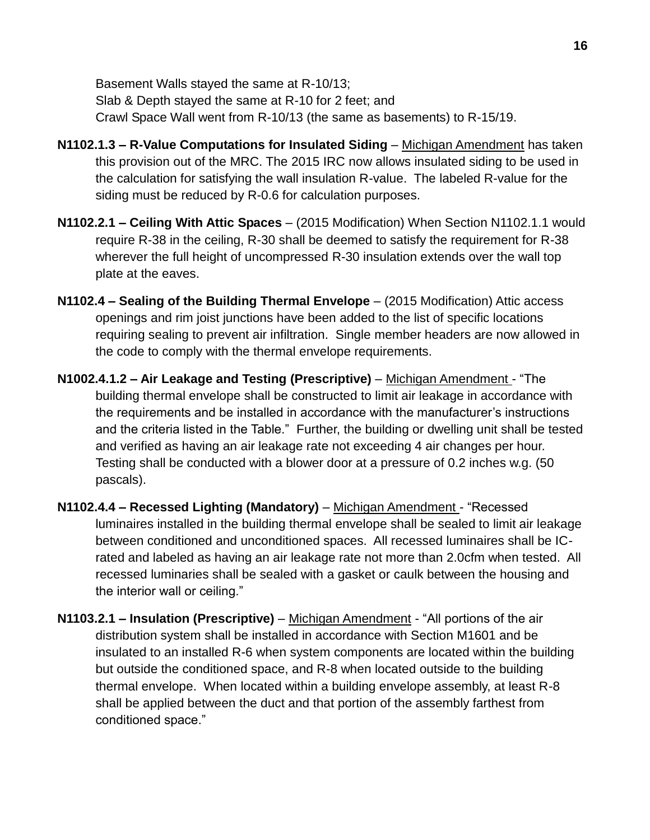Basement Walls stayed the same at R-10/13; Slab & Depth stayed the same at R-10 for 2 feet; and Crawl Space Wall went from R-10/13 (the same as basements) to R-15/19.

- **N1102.1.3 R-Value Computations for Insulated Siding** Michigan Amendment has taken this provision out of the MRC. The 2015 IRC now allows insulated siding to be used in the calculation for satisfying the wall insulation R-value. The labeled R-value for the siding must be reduced by R-0.6 for calculation purposes.
- **N1102.2.1 – Ceiling With Attic Spaces** (2015 Modification) When Section N1102.1.1 would require R-38 in the ceiling, R-30 shall be deemed to satisfy the requirement for R-38 wherever the full height of uncompressed R-30 insulation extends over the wall top plate at the eaves.
- **N1102.4 – Sealing of the Building Thermal Envelope** (2015 Modification) Attic access openings and rim joist junctions have been added to the list of specific locations requiring sealing to prevent air infiltration. Single member headers are now allowed in the code to comply with the thermal envelope requirements.
- **N1002.4.1.2 – Air Leakage and Testing (Prescriptive)** Michigan Amendment "The building thermal envelope shall be constructed to limit air leakage in accordance with the requirements and be installed in accordance with the manufacturer's instructions and the criteria listed in the Table." Further, the building or dwelling unit shall be tested and verified as having an air leakage rate not exceeding 4 air changes per hour. Testing shall be conducted with a blower door at a pressure of 0.2 inches w.g. (50 pascals).
- **N1102.4.4 – Recessed Lighting (Mandatory)** Michigan Amendment "Recessed luminaires installed in the building thermal envelope shall be sealed to limit air leakage between conditioned and unconditioned spaces. All recessed luminaires shall be ICrated and labeled as having an air leakage rate not more than 2.0cfm when tested. All recessed luminaries shall be sealed with a gasket or caulk between the housing and the interior wall or ceiling."
- **N1103.2.1 – Insulation (Prescriptive)** Michigan Amendment "All portions of the air distribution system shall be installed in accordance with Section M1601 and be insulated to an installed R-6 when system components are located within the building but outside the conditioned space, and R-8 when located outside to the building thermal envelope. When located within a building envelope assembly, at least R-8 shall be applied between the duct and that portion of the assembly farthest from conditioned space."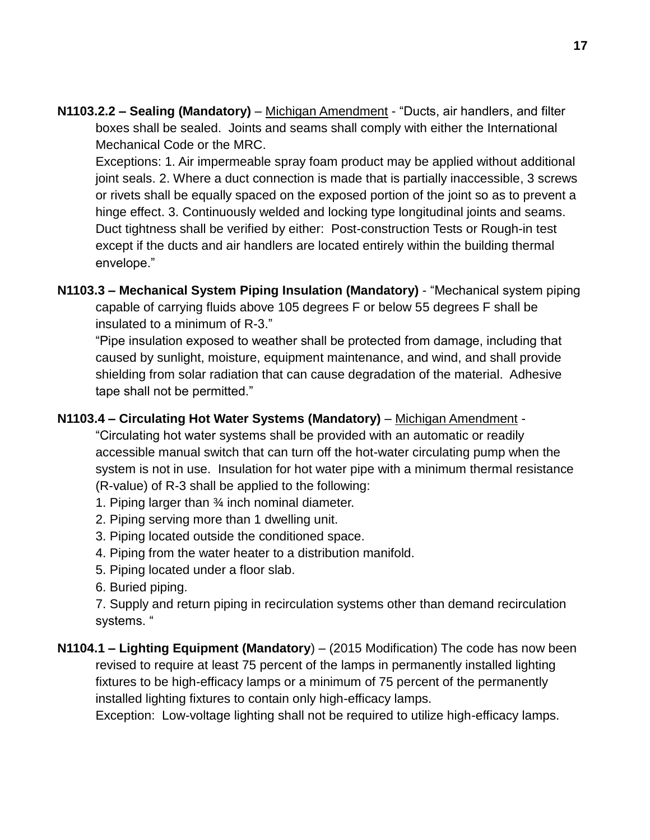**N1103.2.2 – Sealing (Mandatory)** – Michigan Amendment - "Ducts, air handlers, and filter boxes shall be sealed. Joints and seams shall comply with either the International Mechanical Code or the MRC.

Exceptions: 1. Air impermeable spray foam product may be applied without additional joint seals. 2. Where a duct connection is made that is partially inaccessible, 3 screws or rivets shall be equally spaced on the exposed portion of the joint so as to prevent a hinge effect. 3. Continuously welded and locking type longitudinal joints and seams. Duct tightness shall be verified by either: Post-construction Tests or Rough-in test except if the ducts and air handlers are located entirely within the building thermal envelope."

**N1103.3 – Mechanical System Piping Insulation (Mandatory)** - "Mechanical system piping capable of carrying fluids above 105 degrees F or below 55 degrees F shall be insulated to a minimum of R-3."

"Pipe insulation exposed to weather shall be protected from damage, including that caused by sunlight, moisture, equipment maintenance, and wind, and shall provide shielding from solar radiation that can cause degradation of the material. Adhesive tape shall not be permitted."

#### **N1103.4 – Circulating Hot Water Systems (Mandatory)** – Michigan Amendment -

"Circulating hot water systems shall be provided with an automatic or readily accessible manual switch that can turn off the hot-water circulating pump when the system is not in use. Insulation for hot water pipe with a minimum thermal resistance (R-value) of R-3 shall be applied to the following:

- 1. Piping larger than ¾ inch nominal diameter.
- 2. Piping serving more than 1 dwelling unit.
- 3. Piping located outside the conditioned space.
- 4. Piping from the water heater to a distribution manifold.
- 5. Piping located under a floor slab.
- 6. Buried piping.

7. Supply and return piping in recirculation systems other than demand recirculation systems. "

**N1104.1 – Lighting Equipment (Mandatory**) – (2015 Modification) The code has now been revised to require at least 75 percent of the lamps in permanently installed lighting fixtures to be high-efficacy lamps or a minimum of 75 percent of the permanently installed lighting fixtures to contain only high-efficacy lamps.

Exception: Low-voltage lighting shall not be required to utilize high-efficacy lamps.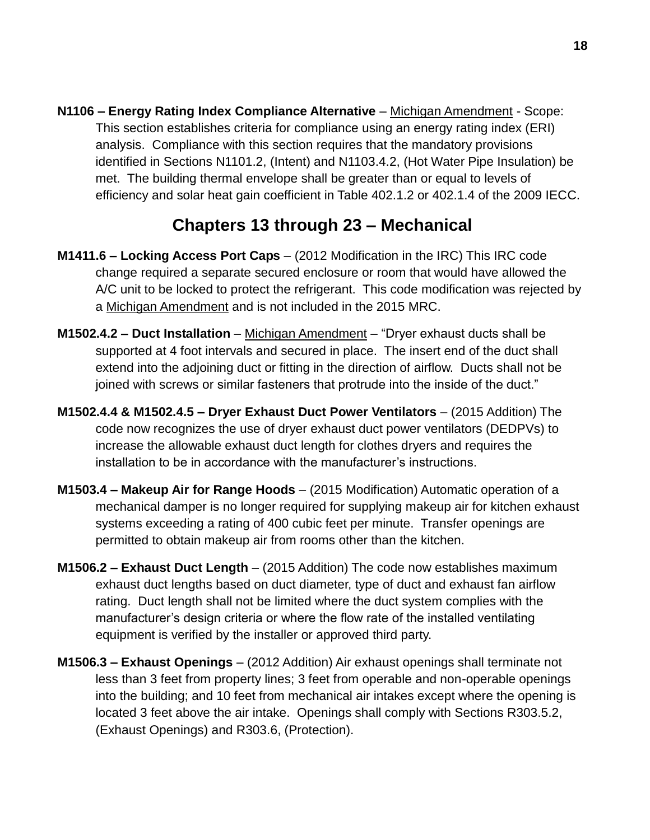**N1106 – Energy Rating Index Compliance Alternative** – Michigan Amendment - Scope: This section establishes criteria for compliance using an energy rating index (ERI) analysis. Compliance with this section requires that the mandatory provisions identified in Sections N1101.2, (Intent) and N1103.4.2, (Hot Water Pipe Insulation) be met. The building thermal envelope shall be greater than or equal to levels of efficiency and solar heat gain coefficient in Table 402.1.2 or 402.1.4 of the 2009 IECC.

# **Chapters 13 through 23 – Mechanical**

- **M1411.6 – Locking Access Port Caps**  (2012 Modification in the IRC) This IRC code change required a separate secured enclosure or room that would have allowed the A/C unit to be locked to protect the refrigerant. This code modification was rejected by a Michigan Amendment and is not included in the 2015 MRC.
- **M1502.4.2 – Duct Installation** Michigan Amendment "Dryer exhaust ducts shall be supported at 4 foot intervals and secured in place. The insert end of the duct shall extend into the adjoining duct or fitting in the direction of airflow. Ducts shall not be joined with screws or similar fasteners that protrude into the inside of the duct."
- **M1502.4.4 & M1502.4.5 – Dryer Exhaust Duct Power Ventilators** (2015 Addition) The code now recognizes the use of dryer exhaust duct power ventilators (DEDPVs) to increase the allowable exhaust duct length for clothes dryers and requires the installation to be in accordance with the manufacturer's instructions.
- **M1503.4 – Makeup Air for Range Hoods** (2015 Modification) Automatic operation of a mechanical damper is no longer required for supplying makeup air for kitchen exhaust systems exceeding a rating of 400 cubic feet per minute. Transfer openings are permitted to obtain makeup air from rooms other than the kitchen.
- **M1506.2 – Exhaust Duct Length** (2015 Addition) The code now establishes maximum exhaust duct lengths based on duct diameter, type of duct and exhaust fan airflow rating. Duct length shall not be limited where the duct system complies with the manufacturer's design criteria or where the flow rate of the installed ventilating equipment is verified by the installer or approved third party.
- **M1506.3 – Exhaust Openings** (2012 Addition) Air exhaust openings shall terminate not less than 3 feet from property lines; 3 feet from operable and non-operable openings into the building; and 10 feet from mechanical air intakes except where the opening is located 3 feet above the air intake. Openings shall comply with Sections R303.5.2, (Exhaust Openings) and R303.6, (Protection).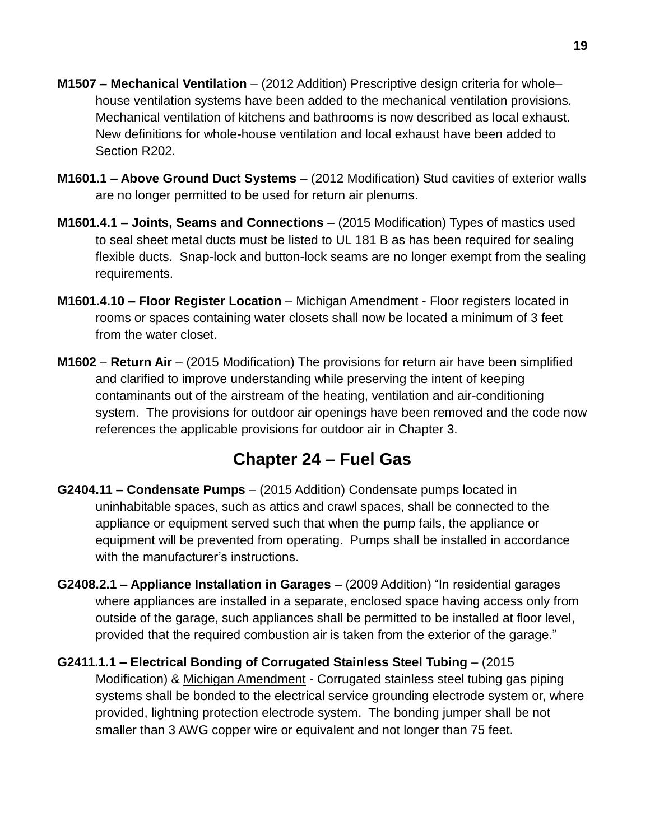- **M1507 – Mechanical Ventilation** (2012 Addition) Prescriptive design criteria for whole– house ventilation systems have been added to the mechanical ventilation provisions. Mechanical ventilation of kitchens and bathrooms is now described as local exhaust. New definitions for whole-house ventilation and local exhaust have been added to Section R202.
- **M1601.1 – Above Ground Duct Systems** (2012 Modification) Stud cavities of exterior walls are no longer permitted to be used for return air plenums.
- **M1601.4.1 – Joints, Seams and Connections** (2015 Modification) Types of mastics used to seal sheet metal ducts must be listed to UL 181 B as has been required for sealing flexible ducts. Snap-lock and button-lock seams are no longer exempt from the sealing requirements.
- **M1601.4.10 – Floor Register Location** Michigan Amendment Floor registers located in rooms or spaces containing water closets shall now be located a minimum of 3 feet from the water closet.
- **M1602 Return Air** (2015 Modification) The provisions for return air have been simplified and clarified to improve understanding while preserving the intent of keeping contaminants out of the airstream of the heating, ventilation and air-conditioning system. The provisions for outdoor air openings have been removed and the code now references the applicable provisions for outdoor air in Chapter 3.

### **Chapter 24 – Fuel Gas**

- **G2404.11 – Condensate Pumps** (2015 Addition) Condensate pumps located in uninhabitable spaces, such as attics and crawl spaces, shall be connected to the appliance or equipment served such that when the pump fails, the appliance or equipment will be prevented from operating. Pumps shall be installed in accordance with the manufacturer's instructions.
- **G2408.2.1 – Appliance Installation in Garages** (2009 Addition) "In residential garages where appliances are installed in a separate, enclosed space having access only from outside of the garage, such appliances shall be permitted to be installed at floor level, provided that the required combustion air is taken from the exterior of the garage."
- **G2411.1.1 – Electrical Bonding of Corrugated Stainless Steel Tubing** (2015 Modification) & Michigan Amendment - Corrugated stainless steel tubing gas piping systems shall be bonded to the electrical service grounding electrode system or, where provided, lightning protection electrode system. The bonding jumper shall be not smaller than 3 AWG copper wire or equivalent and not longer than 75 feet.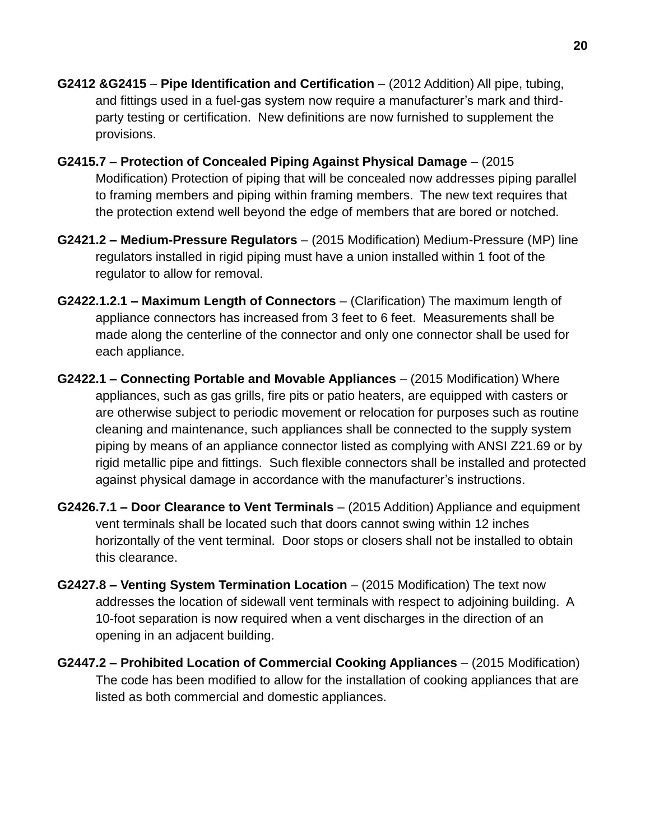- **G2412 &G2415 Pipe Identification and Certification** (2012 Addition) All pipe, tubing, and fittings used in a fuel-gas system now require a manufacturer's mark and thirdparty testing or certification. New definitions are now furnished to supplement the provisions.
- **G2415.7 – Protection of Concealed Piping Against Physical Damage**  (2015 Modification) Protection of piping that will be concealed now addresses piping parallel to framing members and piping within framing members. The new text requires that the protection extend well beyond the edge of members that are bored or notched.
- **G2421.2 – Medium-Pressure Regulators** (2015 Modification) Medium-Pressure (MP) line regulators installed in rigid piping must have a union installed within 1 foot of the regulator to allow for removal.
- **G2422.1.2.1 – Maximum Length of Connectors** (Clarification) The maximum length of appliance connectors has increased from 3 feet to 6 feet. Measurements shall be made along the centerline of the connector and only one connector shall be used for each appliance.
- **G2422.1 – Connecting Portable and Movable Appliances** (2015 Modification) Where appliances, such as gas grills, fire pits or patio heaters, are equipped with casters or are otherwise subject to periodic movement or relocation for purposes such as routine cleaning and maintenance, such appliances shall be connected to the supply system piping by means of an appliance connector listed as complying with ANSI Z21.69 or by rigid metallic pipe and fittings. Such flexible connectors shall be installed and protected against physical damage in accordance with the manufacturer's instructions.
- **G2426.7.1 – Door Clearance to Vent Terminals** (2015 Addition) Appliance and equipment vent terminals shall be located such that doors cannot swing within 12 inches horizontally of the vent terminal. Door stops or closers shall not be installed to obtain this clearance.
- **G2427.8 – Venting System Termination Location** (2015 Modification) The text now addresses the location of sidewall vent terminals with respect to adjoining building. A 10-foot separation is now required when a vent discharges in the direction of an opening in an adjacent building.
- **G2447.2 – Prohibited Location of Commercial Cooking Appliances** (2015 Modification) The code has been modified to allow for the installation of cooking appliances that are listed as both commercial and domestic appliances.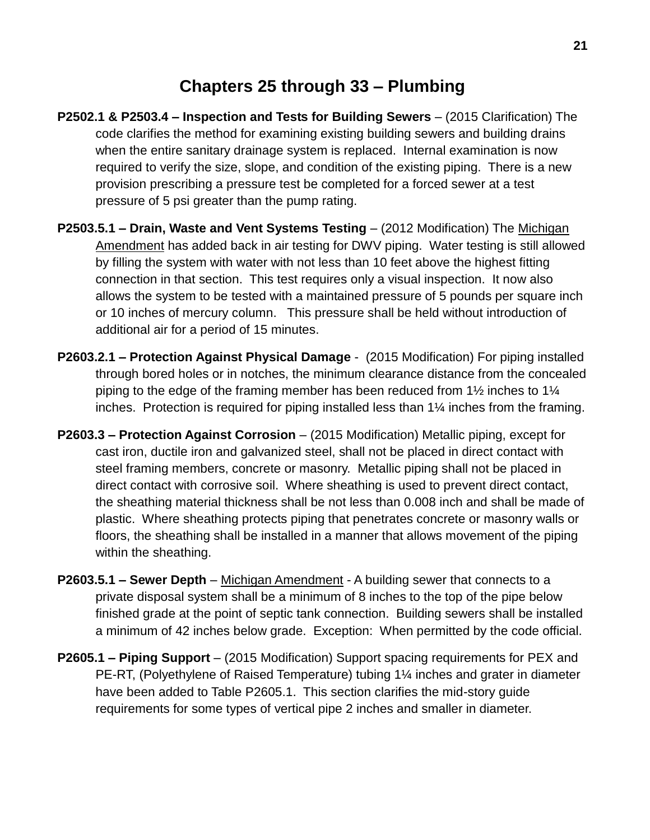### **Chapters 25 through 33 – Plumbing**

- **P2502.1 & P2503.4 – Inspection and Tests for Building Sewers**  (2015 Clarification) The code clarifies the method for examining existing building sewers and building drains when the entire sanitary drainage system is replaced. Internal examination is now required to verify the size, slope, and condition of the existing piping. There is a new provision prescribing a pressure test be completed for a forced sewer at a test pressure of 5 psi greater than the pump rating.
- **P2503.5.1 – Drain, Waste and Vent Systems Testing** (2012 Modification) The Michigan Amendment has added back in air testing for DWV piping. Water testing is still allowed by filling the system with water with not less than 10 feet above the highest fitting connection in that section. This test requires only a visual inspection. It now also allows the system to be tested with a maintained pressure of 5 pounds per square inch or 10 inches of mercury column. This pressure shall be held without introduction of additional air for a period of 15 minutes.
- **P2603.2.1 – Protection Against Physical Damage** (2015 Modification) For piping installed through bored holes or in notches, the minimum clearance distance from the concealed piping to the edge of the framing member has been reduced from 1½ inches to 1¼ inches. Protection is required for piping installed less than 1¼ inches from the framing.
- **P2603.3 – Protection Against Corrosion** (2015 Modification) Metallic piping, except for cast iron, ductile iron and galvanized steel, shall not be placed in direct contact with steel framing members, concrete or masonry. Metallic piping shall not be placed in direct contact with corrosive soil. Where sheathing is used to prevent direct contact, the sheathing material thickness shall be not less than 0.008 inch and shall be made of plastic. Where sheathing protects piping that penetrates concrete or masonry walls or floors, the sheathing shall be installed in a manner that allows movement of the piping within the sheathing.
- **P2603.5.1 – Sewer Depth** Michigan Amendment A building sewer that connects to a private disposal system shall be a minimum of 8 inches to the top of the pipe below finished grade at the point of septic tank connection. Building sewers shall be installed a minimum of 42 inches below grade. Exception: When permitted by the code official.
- **P2605.1 – Piping Support** (2015 Modification) Support spacing requirements for PEX and PE-RT, (Polyethylene of Raised Temperature) tubing 1¼ inches and grater in diameter have been added to Table P2605.1. This section clarifies the mid-story guide requirements for some types of vertical pipe 2 inches and smaller in diameter.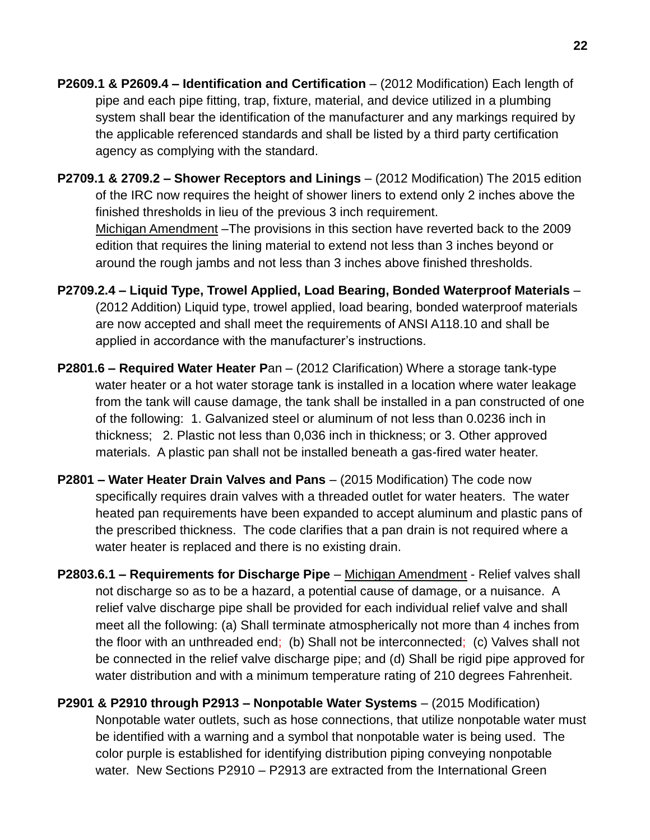- **P2609.1 & P2609.4 – Identification and Certification** (2012 Modification) Each length of pipe and each pipe fitting, trap, fixture, material, and device utilized in a plumbing system shall bear the identification of the manufacturer and any markings required by the applicable referenced standards and shall be listed by a third party certification agency as complying with the standard.
- **P2709.1 & 2709.2 – Shower Receptors and Linings** (2012 Modification) The 2015 edition of the IRC now requires the height of shower liners to extend only 2 inches above the finished thresholds in lieu of the previous 3 inch requirement. Michigan Amendment –The provisions in this section have reverted back to the 2009 edition that requires the lining material to extend not less than 3 inches beyond or around the rough jambs and not less than 3 inches above finished thresholds.
- **P2709.2.4 – Liquid Type, Trowel Applied, Load Bearing, Bonded Waterproof Materials** (2012 Addition) Liquid type, trowel applied, load bearing, bonded waterproof materials are now accepted and shall meet the requirements of ANSI A118.10 and shall be applied in accordance with the manufacturer's instructions.
- **P2801.6 – Required Water Heater P**an (2012 Clarification) Where a storage tank-type water heater or a hot water storage tank is installed in a location where water leakage from the tank will cause damage, the tank shall be installed in a pan constructed of one of the following: 1. Galvanized steel or aluminum of not less than 0.0236 inch in thickness; 2. Plastic not less than 0,036 inch in thickness; or 3. Other approved materials. A plastic pan shall not be installed beneath a gas-fired water heater.
- **P2801 – Water Heater Drain Valves and Pans** (2015 Modification) The code now specifically requires drain valves with a threaded outlet for water heaters. The water heated pan requirements have been expanded to accept aluminum and plastic pans of the prescribed thickness. The code clarifies that a pan drain is not required where a water heater is replaced and there is no existing drain.
- **P2803.6.1 – Requirements for Discharge Pipe** Michigan Amendment Relief valves shall not discharge so as to be a hazard, a potential cause of damage, or a nuisance. A relief valve discharge pipe shall be provided for each individual relief valve and shall meet all the following: (a) Shall terminate atmospherically not more than 4 inches from the floor with an unthreaded end; (b) Shall not be interconnected; (c) Valves shall not be connected in the relief valve discharge pipe; and (d) Shall be rigid pipe approved for water distribution and with a minimum temperature rating of 210 degrees Fahrenheit.
- **P2901 & P2910 through P2913 – Nonpotable Water Systems**  (2015 Modification) Nonpotable water outlets, such as hose connections, that utilize nonpotable water must be identified with a warning and a symbol that nonpotable water is being used. The color purple is established for identifying distribution piping conveying nonpotable water. New Sections P2910 – P2913 are extracted from the International Green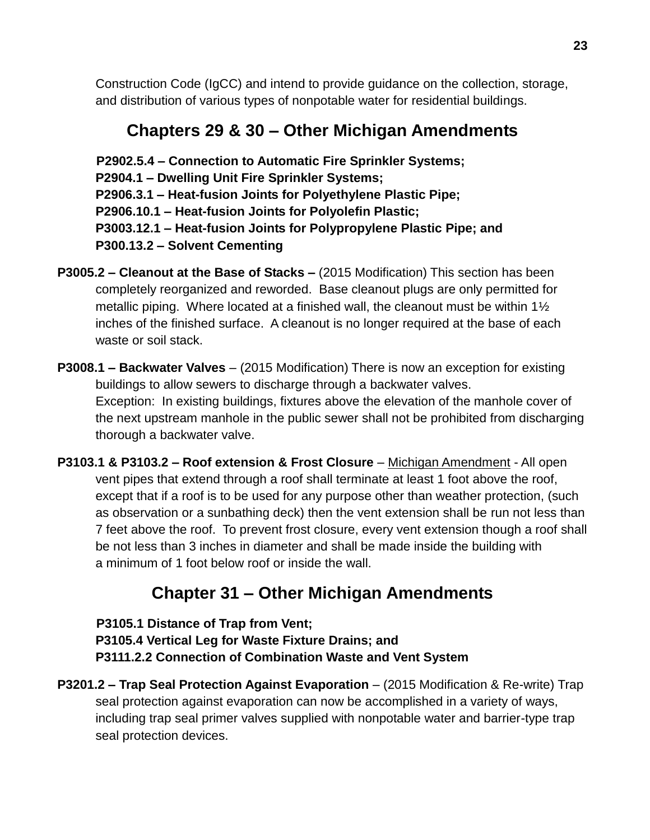Construction Code (IgCC) and intend to provide guidance on the collection, storage, and distribution of various types of nonpotable water for residential buildings.

# **Chapters 29 & 30 – Other Michigan Amendments**

 **P2902.5.4 – Connection to Automatic Fire Sprinkler Systems; P2904.1 – Dwelling Unit Fire Sprinkler Systems; P2906.3.1 – Heat-fusion Joints for Polyethylene Plastic Pipe; P2906.10.1 – Heat-fusion Joints for Polyolefin Plastic; P3003.12.1 – Heat-fusion Joints for Polypropylene Plastic Pipe; and P300.13.2 – Solvent Cementing**

- **P3005.2 – Cleanout at the Base of Stacks –** (2015 Modification) This section has been completely reorganized and reworded. Base cleanout plugs are only permitted for metallic piping. Where located at a finished wall, the cleanout must be within 1½ inches of the finished surface. A cleanout is no longer required at the base of each waste or soil stack.
- **P3008.1 – Backwater Valves** (2015 Modification) There is now an exception for existing buildings to allow sewers to discharge through a backwater valves. Exception: In existing buildings, fixtures above the elevation of the manhole cover of the next upstream manhole in the public sewer shall not be prohibited from discharging thorough a backwater valve.
- **P3103.1 & P3103.2 – Roof extension & Frost Closure** Michigan Amendment All open vent pipes that extend through a roof shall terminate at least 1 foot above the roof, except that if a roof is to be used for any purpose other than weather protection, (such as observation or a sunbathing deck) then the vent extension shall be run not less than 7 feet above the roof. To prevent frost closure, every vent extension though a roof shall be not less than 3 inches in diameter and shall be made inside the building with a minimum of 1 foot below roof or inside the wall.

# **Chapter 31 – Other Michigan Amendments**

 **P3105.1 Distance of Trap from Vent; P3105.4 Vertical Leg for Waste Fixture Drains; and P3111.2.2 Connection of Combination Waste and Vent System**

**P3201.2 – Trap Seal Protection Against Evaporation** – (2015 Modification & Re-write) Trap seal protection against evaporation can now be accomplished in a variety of ways, including trap seal primer valves supplied with nonpotable water and barrier-type trap seal protection devices.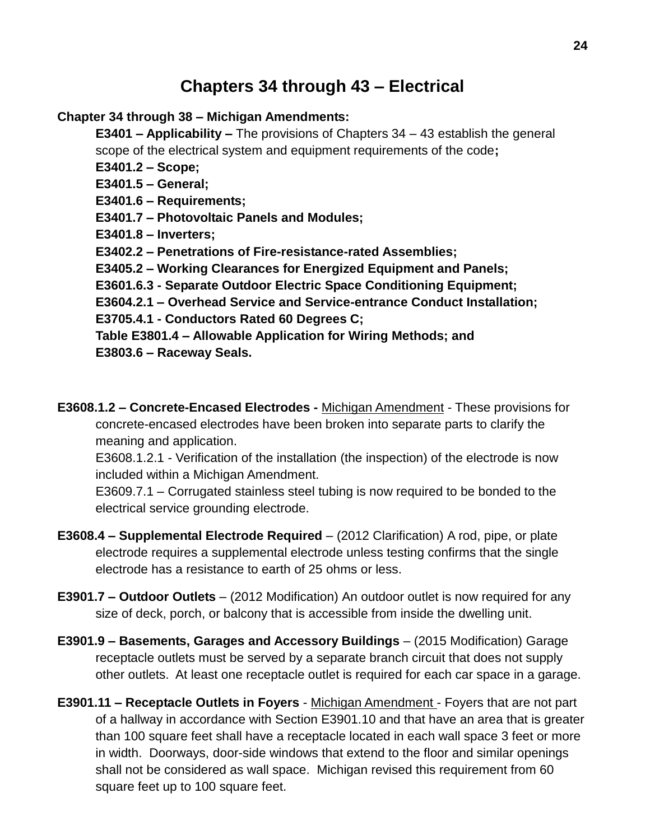# **Chapters 34 through 43 – Electrical**

#### **Chapter 34 through 38 – Michigan Amendments:**

**E3401 – Applicability –** The provisions of Chapters 34 – 43 establish the general scope of the electrical system and equipment requirements of the code**;** 

**E3401.2 – Scope;** 

**E3401.5 – General;** 

**E3401.6 – Requirements;** 

**E3401.7 – Photovoltaic Panels and Modules;** 

**E3401.8 – Inverters;** 

**E3402.2 – Penetrations of Fire-resistance-rated Assemblies;** 

**E3405.2 – Working Clearances for Energized Equipment and Panels;**

**E3601.6.3 - Separate Outdoor Electric Space Conditioning Equipment;** 

**E3604.2.1 – Overhead Service and Service-entrance Conduct Installation;** 

**E3705.4.1 - Conductors Rated 60 Degrees C;** 

**Table E3801.4 – Allowable Application for Wiring Methods; and E3803.6 – Raceway Seals.**

**E3608.1.2 – Concrete-Encased Electrodes -** Michigan Amendment - These provisions for concrete-encased electrodes have been broken into separate parts to clarify the meaning and application.

E3608.1.2.1 - Verification of the installation (the inspection) of the electrode is now included within a Michigan Amendment.

E3609.7.1 – Corrugated stainless steel tubing is now required to be bonded to the electrical service grounding electrode.

- **E3608.4 – Supplemental Electrode Required** (2012 Clarification) A rod, pipe, or plate electrode requires a supplemental electrode unless testing confirms that the single electrode has a resistance to earth of 25 ohms or less.
- **E3901.7 – Outdoor Outlets**  (2012 Modification) An outdoor outlet is now required for any size of deck, porch, or balcony that is accessible from inside the dwelling unit.
- **E3901.9 – Basements, Garages and Accessory Buildings** (2015 Modification) Garage receptacle outlets must be served by a separate branch circuit that does not supply other outlets. At least one receptacle outlet is required for each car space in a garage.
- **E3901.11 – Receptacle Outlets in Foyers** Michigan Amendment Foyers that are not part of a hallway in accordance with Section E3901.10 and that have an area that is greater than 100 square feet shall have a receptacle located in each wall space 3 feet or more in width. Doorways, door-side windows that extend to the floor and similar openings shall not be considered as wall space. Michigan revised this requirement from 60 square feet up to 100 square feet.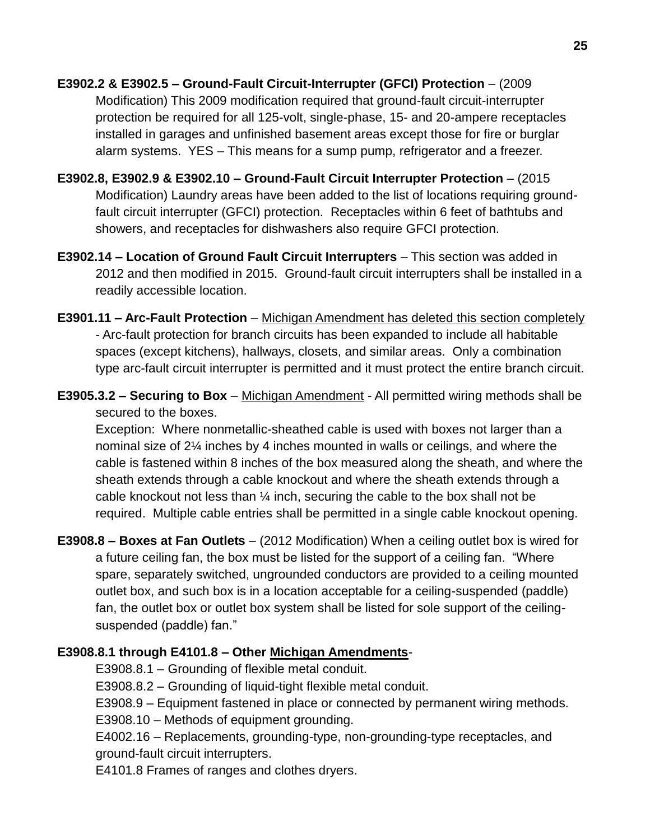- **E3902.2 & E3902.5 – Ground-Fault Circuit-Interrupter (GFCI) Protection**  (2009 Modification) This 2009 modification required that ground-fault circuit-interrupter protection be required for all 125-volt, single-phase, 15- and 20-ampere receptacles installed in garages and unfinished basement areas except those for fire or burglar alarm systems. YES – This means for a sump pump, refrigerator and a freezer.
- **E3902.8, E3902.9 & E3902.10 – Ground-Fault Circuit Interrupter Protection** (2015 Modification) Laundry areas have been added to the list of locations requiring groundfault circuit interrupter (GFCI) protection. Receptacles within 6 feet of bathtubs and showers, and receptacles for dishwashers also require GFCI protection.
- **E3902.14 – Location of Ground Fault Circuit Interrupters** This section was added in 2012 and then modified in 2015. Ground-fault circuit interrupters shall be installed in a readily accessible location.
- **E3901.11 – Arc-Fault Protection** Michigan Amendment has deleted this section completely - Arc-fault protection for branch circuits has been expanded to include all habitable spaces (except kitchens), hallways, closets, and similar areas. Only a combination type arc-fault circuit interrupter is permitted and it must protect the entire branch circuit.
- **E3905.3.2 – Securing to Box** Michigan Amendment All permitted wiring methods shall be secured to the boxes.

Exception: Where nonmetallic-sheathed cable is used with boxes not larger than a nominal size of 2¼ inches by 4 inches mounted in walls or ceilings, and where the cable is fastened within 8 inches of the box measured along the sheath, and where the sheath extends through a cable knockout and where the sheath extends through a cable knockout not less than ¼ inch, securing the cable to the box shall not be required. Multiple cable entries shall be permitted in a single cable knockout opening.

**E3908.8 – Boxes at Fan Outlets** – (2012 Modification) When a ceiling outlet box is wired for a future ceiling fan, the box must be listed for the support of a ceiling fan. "Where spare, separately switched, ungrounded conductors are provided to a ceiling mounted outlet box, and such box is in a location acceptable for a ceiling-suspended (paddle) fan, the outlet box or outlet box system shall be listed for sole support of the ceilingsuspended (paddle) fan."

#### **E3908.8.1 through E4101.8 – Other Michigan Amendments**-

E3908.8.1 – Grounding of flexible metal conduit.

E3908.8.2 – Grounding of liquid-tight flexible metal conduit.

E3908.9 – Equipment fastened in place or connected by permanent wiring methods.

E3908.10 – Methods of equipment grounding.

E4002.16 – Replacements, grounding-type, non-grounding-type receptacles, and ground-fault circuit interrupters.

E4101.8 Frames of ranges and clothes dryers.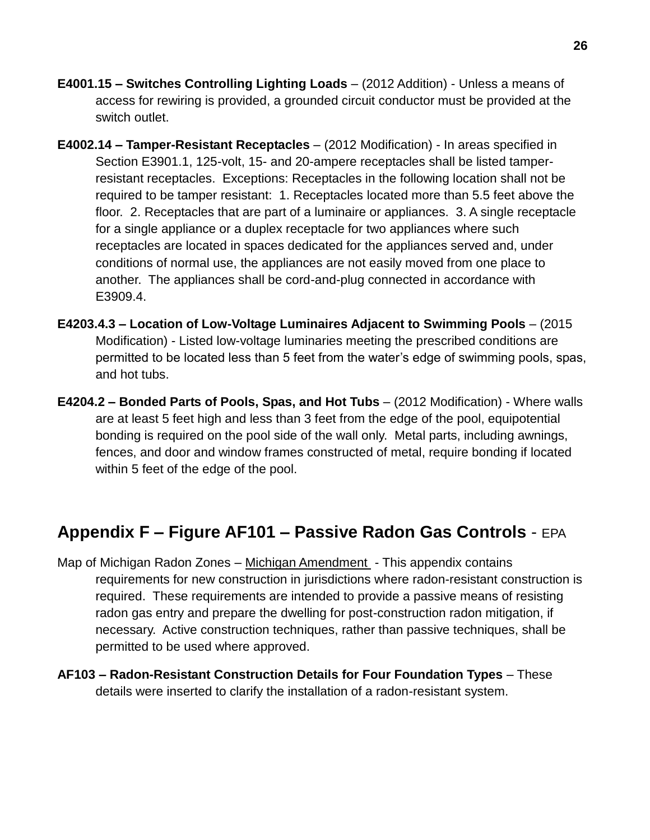- **E4001.15 – Switches Controlling Lighting Loads** (2012 Addition) Unless a means of access for rewiring is provided, a grounded circuit conductor must be provided at the switch outlet.
- **E4002.14 – Tamper-Resistant Receptacles**  (2012 Modification) In areas specified in Section E3901.1, 125-volt, 15- and 20-ampere receptacles shall be listed tamperresistant receptacles. Exceptions: Receptacles in the following location shall not be required to be tamper resistant: 1. Receptacles located more than 5.5 feet above the floor. 2. Receptacles that are part of a luminaire or appliances. 3. A single receptacle for a single appliance or a duplex receptacle for two appliances where such receptacles are located in spaces dedicated for the appliances served and, under conditions of normal use, the appliances are not easily moved from one place to another. The appliances shall be cord-and-plug connected in accordance with E3909.4.
- **E4203.4.3 – Location of Low-Voltage Luminaires Adjacent to Swimming Pools** (2015 Modification) - Listed low-voltage luminaries meeting the prescribed conditions are permitted to be located less than 5 feet from the water's edge of swimming pools, spas, and hot tubs.
- **E4204.2 – Bonded Parts of Pools, Spas, and Hot Tubs** (2012 Modification) Where walls are at least 5 feet high and less than 3 feet from the edge of the pool, equipotential bonding is required on the pool side of the wall only. Metal parts, including awnings, fences, and door and window frames constructed of metal, require bonding if located within 5 feet of the edge of the pool.

### **Appendix F – Figure AF101 – Passive Radon Gas Controls** - EPA

- Map of Michigan Radon Zones Michigan Amendment This appendix contains requirements for new construction in jurisdictions where radon-resistant construction is required. These requirements are intended to provide a passive means of resisting radon gas entry and prepare the dwelling for post-construction radon mitigation, if necessary. Active construction techniques, rather than passive techniques, shall be permitted to be used where approved.
- **AF103 – Radon-Resistant Construction Details for Four Foundation Types** These details were inserted to clarify the installation of a radon-resistant system.